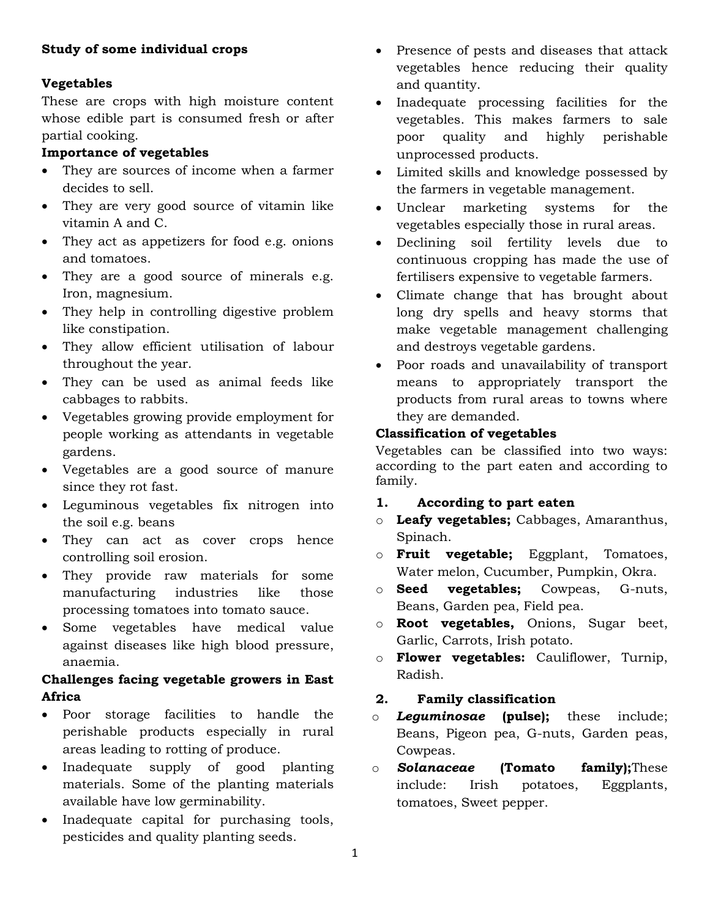## **Study of some individual crops**

# **Vegetables**

These are crops with high moisture content whose edible part is consumed fresh or after partial cooking.

# **Importance of vegetables**

- They are sources of income when a farmer decides to sell.
- They are very good source of vitamin like vitamin A and C.
- They act as appetizers for food e.g. onions and tomatoes.
- They are a good source of minerals e.g. Iron, magnesium.
- They help in controlling digestive problem like constipation.
- They allow efficient utilisation of labour throughout the year.
- They can be used as animal feeds like cabbages to rabbits.
- Vegetables growing provide employment for people working as attendants in vegetable gardens.
- Vegetables are a good source of manure since they rot fast.
- Leguminous vegetables fix nitrogen into the soil e.g. beans
- They can act as cover crops hence controlling soil erosion.
- They provide raw materials for some manufacturing industries like those processing tomatoes into tomato sauce.
- Some vegetables have medical value against diseases like high blood pressure, anaemia.

# **Challenges facing vegetable growers in East Africa**

- Poor storage facilities to handle the perishable products especially in rural areas leading to rotting of produce.
- Inadequate supply of good planting materials. Some of the planting materials available have low germinability.
- Inadequate capital for purchasing tools, pesticides and quality planting seeds.
- Presence of pests and diseases that attack vegetables hence reducing their quality and quantity.
- Inadequate processing facilities for the vegetables. This makes farmers to sale poor quality and highly perishable unprocessed products.
- Limited skills and knowledge possessed by the farmers in vegetable management.
- Unclear marketing systems for the vegetables especially those in rural areas.
- Declining soil fertility levels due to continuous cropping has made the use of fertilisers expensive to vegetable farmers.
- Climate change that has brought about long dry spells and heavy storms that make vegetable management challenging and destroys vegetable gardens.
- Poor roads and unavailability of transport means to appropriately transport the products from rural areas to towns where they are demanded.

# **Classification of vegetables**

Vegetables can be classified into two ways: according to the part eaten and according to family.

# **1. According to part eaten**

- o **Leafy vegetables;** Cabbages, Amaranthus, Spinach.
- o **Fruit vegetable;** Eggplant, Tomatoes, Water melon, Cucumber, Pumpkin, Okra.
- o **Seed vegetables;** Cowpeas, G-nuts, Beans, Garden pea, Field pea.
- o **Root vegetables,** Onions, Sugar beet, Garlic, Carrots, Irish potato.
- o **Flower vegetables:** Cauliflower, Turnip, Radish.
- **2. Family classification**
- o *Leguminosae* **(pulse);** these include; Beans, Pigeon pea, G-nuts, Garden peas, Cowpeas.
- o *Solanaceae* **(Tomato family);**These include: Irish potatoes, Eggplants, tomatoes, Sweet pepper.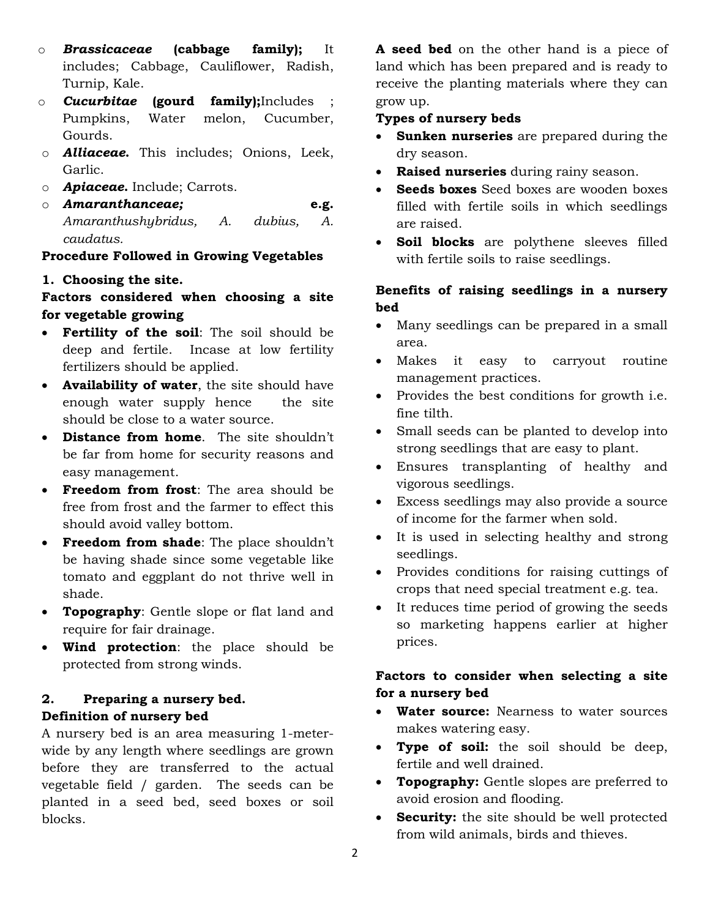- o *Brassicaceae* **(cabbage family);** It includes; Cabbage, Cauliflower, Radish, Turnip, Kale.
- o *Cucurbitae* **(gourd family);**Includes ; Pumpkins, Water melon, Cucumber, Gourds.
- o *Alliaceae***.** This includes; Onions, Leek, Garlic.
- o *Apiaceae***.** Include; Carrots.
- o *Amaranthanceae;* **e.g.**  *Amaranthushybridus, A. dubius, A. caudatus.*

## **Procedure Followed in Growing Vegetables**

### **1. Choosing the site.**

# **Factors considered when choosing a site for vegetable growing**

- **Fertility of the soil**: The soil should be deep and fertile. Incase at low fertility fertilizers should be applied.
- **Availability of water**, the site should have enough water supply hence the site should be close to a water source.
- **Distance from home**. The site shouldn't be far from home for security reasons and easy management.
- **Freedom from frost**: The area should be free from frost and the farmer to effect this should avoid valley bottom.
- **Freedom from shade**: The place shouldn't be having shade since some vegetable like tomato and eggplant do not thrive well in shade.
- **Topography**: Gentle slope or flat land and require for fair drainage.
- **Wind protection**: the place should be protected from strong winds.

# **2. Preparing a nursery bed. Definition of nursery bed**

A nursery bed is an area measuring 1-meterwide by any length where seedlings are grown before they are transferred to the actual vegetable field / garden. The seeds can be planted in a seed bed, seed boxes or soil blocks.

**A seed bed** on the other hand is a piece of land which has been prepared and is ready to receive the planting materials where they can grow up.

### **Types of nursery beds**

- **Sunken nurseries** are prepared during the dry season.
- **Raised nurseries** during rainy season.
- **Seeds boxes** Seed boxes are wooden boxes filled with fertile soils in which seedlings are raised.
- **Soil blocks** are polythene sleeves filled with fertile soils to raise seedlings.

# **Benefits of raising seedlings in a nursery bed**

- Many seedlings can be prepared in a small area.
- Makes it easy to carryout routine management practices.
- Provides the best conditions for growth i.e. fine tilth.
- Small seeds can be planted to develop into strong seedlings that are easy to plant.
- Ensures transplanting of healthy and vigorous seedlings.
- Excess seedlings may also provide a source of income for the farmer when sold.
- It is used in selecting healthy and strong seedlings.
- Provides conditions for raising cuttings of crops that need special treatment e.g. tea.
- It reduces time period of growing the seeds so marketing happens earlier at higher prices.

# **Factors to consider when selecting a site for a nursery bed**

- **Water source:** Nearness to water sources makes watering easy.
- **Type of soil:** the soil should be deep, fertile and well drained.
- **Topography:** Gentle slopes are preferred to avoid erosion and flooding.
- **Security:** the site should be well protected from wild animals, birds and thieves.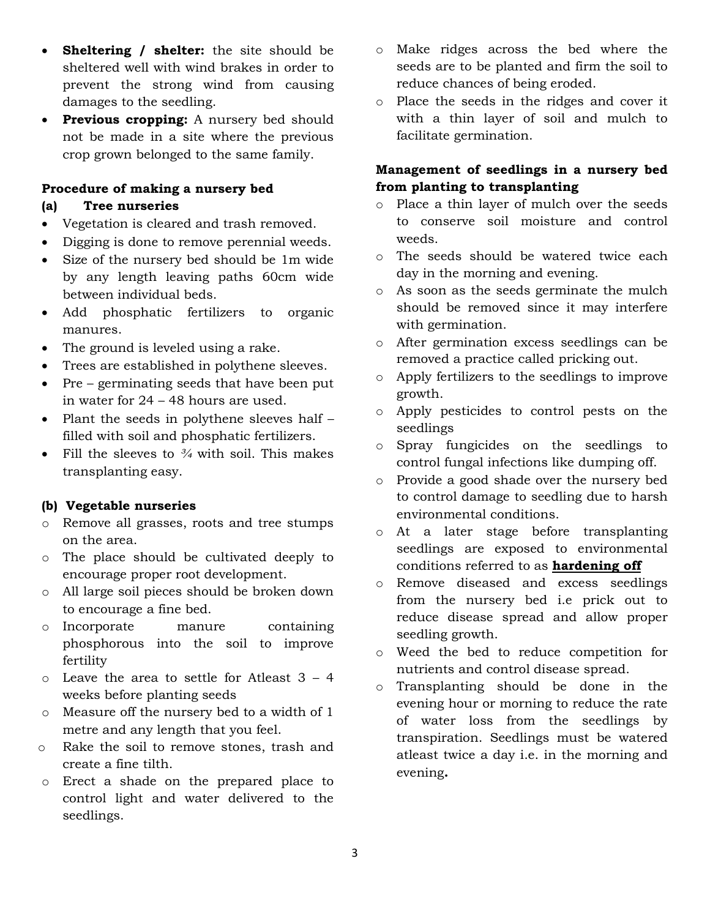- **Sheltering / shelter:** the site should be sheltered well with wind brakes in order to prevent the strong wind from causing damages to the seedling.
- **Previous cropping:** A nursery bed should not be made in a site where the previous crop grown belonged to the same family.

#### **Procedure of making a nursery bed**

#### **(a) Tree nurseries**

- Vegetation is cleared and trash removed.
- Digging is done to remove perennial weeds.
- Size of the nursery bed should be 1m wide by any length leaving paths 60cm wide between individual beds.
- Add phosphatic fertilizers to organic manures.
- The ground is leveled using a rake.
- Trees are established in polythene sleeves.
- Pre germinating seeds that have been put in water for 24 – 48 hours are used.
- Plant the seeds in polythene sleeves half filled with soil and phosphatic fertilizers.
- Fill the sleeves to *¾* with soil. This makes transplanting easy.

# **(b) Vegetable nurseries**

- o Remove all grasses, roots and tree stumps on the area.
- o The place should be cultivated deeply to encourage proper root development.
- o All large soil pieces should be broken down to encourage a fine bed.
- o Incorporate manure containing phosphorous into the soil to improve fertility
- o Leave the area to settle for Atleast 3 4 weeks before planting seeds
- o Measure off the nursery bed to a width of 1 metre and any length that you feel.
- o Rake the soil to remove stones, trash and create a fine tilth.
- o Erect a shade on the prepared place to control light and water delivered to the seedlings.
- o Make ridges across the bed where the seeds are to be planted and firm the soil to reduce chances of being eroded.
- o Place the seeds in the ridges and cover it with a thin layer of soil and mulch to facilitate germination.

# **Management of seedlings in a nursery bed from planting to transplanting**

- o Place a thin layer of mulch over the seeds to conserve soil moisture and control weeds.
- o The seeds should be watered twice each day in the morning and evening.
- o As soon as the seeds germinate the mulch should be removed since it may interfere with germination.
- o After germination excess seedlings can be removed a practice called pricking out.
- o Apply fertilizers to the seedlings to improve growth.
- o Apply pesticides to control pests on the seedlings
- o Spray fungicides on the seedlings to control fungal infections like dumping off.
- o Provide a good shade over the nursery bed to control damage to seedling due to harsh environmental conditions.
- o At a later stage before transplanting seedlings are exposed to environmental conditions referred to as **hardening off**
- o Remove diseased and excess seedlings from the nursery bed i.e prick out to reduce disease spread and allow proper seedling growth.
- o Weed the bed to reduce competition for nutrients and control disease spread.
- o Transplanting should be done in the evening hour or morning to reduce the rate of water loss from the seedlings by transpiration. Seedlings must be watered atleast twice a day i.e. in the morning and evening**.**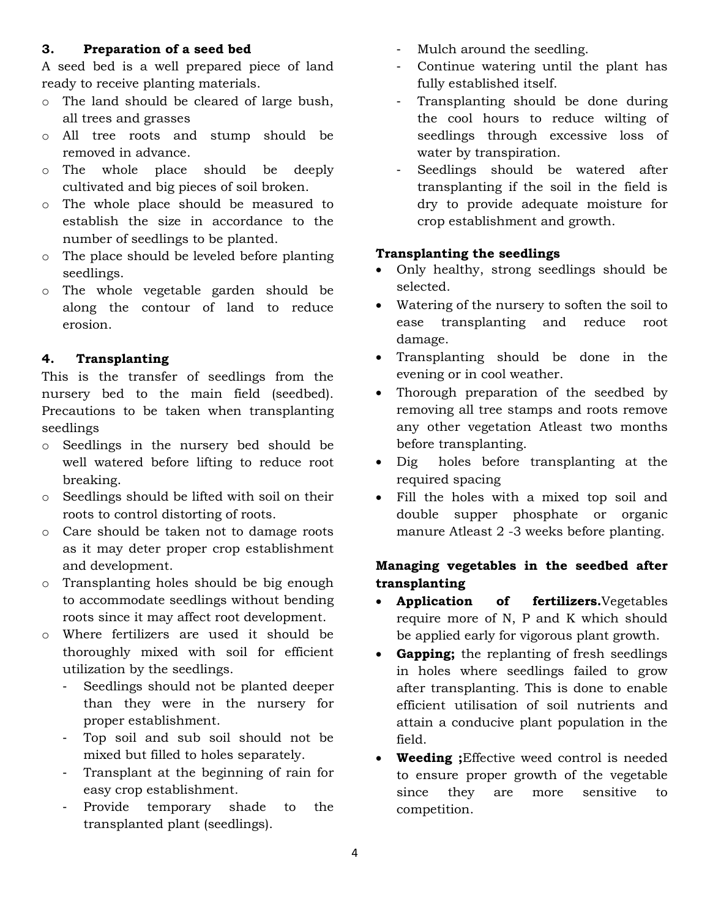#### **3. Preparation of a seed bed**

A seed bed is a well prepared piece of land ready to receive planting materials.

- o The land should be cleared of large bush, all trees and grasses
- o All tree roots and stump should be removed in advance.
- o The whole place should be deeply cultivated and big pieces of soil broken.
- o The whole place should be measured to establish the size in accordance to the number of seedlings to be planted.
- o The place should be leveled before planting seedlings.
- o The whole vegetable garden should be along the contour of land to reduce erosion.

# **4. Transplanting**

This is the transfer of seedlings from the nursery bed to the main field (seedbed). Precautions to be taken when transplanting seedlings

- o Seedlings in the nursery bed should be well watered before lifting to reduce root breaking.
- o Seedlings should be lifted with soil on their roots to control distorting of roots.
- o Care should be taken not to damage roots as it may deter proper crop establishment and development.
- o Transplanting holes should be big enough to accommodate seedlings without bending roots since it may affect root development.
- o Where fertilizers are used it should be thoroughly mixed with soil for efficient utilization by the seedlings.
	- Seedlings should not be planted deeper than they were in the nursery for proper establishment.
	- Top soil and sub soil should not be mixed but filled to holes separately.
	- Transplant at the beginning of rain for easy crop establishment.
	- Provide temporary shade to the transplanted plant (seedlings).
- Mulch around the seedling.
- Continue watering until the plant has fully established itself.
- Transplanting should be done during the cool hours to reduce wilting of seedlings through excessive loss of water by transpiration.
- Seedlings should be watered after transplanting if the soil in the field is dry to provide adequate moisture for crop establishment and growth.

# **Transplanting the seedlings**

- Only healthy, strong seedlings should be selected.
- Watering of the nursery to soften the soil to ease transplanting and reduce root damage.
- Transplanting should be done in the evening or in cool weather.
- Thorough preparation of the seedbed by removing all tree stamps and roots remove any other vegetation Atleast two months before transplanting.
- Dig holes before transplanting at the required spacing
- Fill the holes with a mixed top soil and double supper phosphate or organic manure Atleast 2 -3 weeks before planting.

# **Managing vegetables in the seedbed after transplanting**

- **Application of fertilizers.**Vegetables require more of N, P and K which should be applied early for vigorous plant growth.
- **Gapping;** the replanting of fresh seedlings in holes where seedlings failed to grow after transplanting. This is done to enable efficient utilisation of soil nutrients and attain a conducive plant population in the field.
- **Weeding ;**Effective weed control is needed to ensure proper growth of the vegetable since they are more sensitive to competition.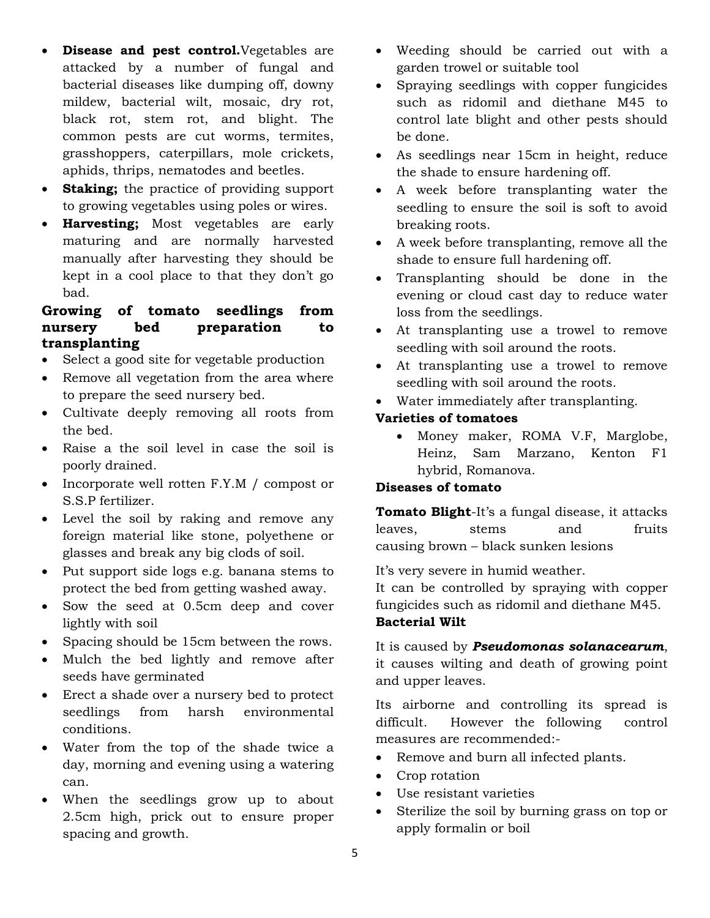- **Disease and pest control.**Vegetables are attacked by a number of fungal and bacterial diseases like dumping off, downy mildew, bacterial wilt, mosaic, dry rot, black rot, stem rot, and blight. The common pests are cut worms, termites, grasshoppers, caterpillars, mole crickets, aphids, thrips, nematodes and beetles.
- **Staking;** the practice of providing support to growing vegetables using poles or wires.
- **Harvesting;** Most vegetables are early maturing and are normally harvested manually after harvesting they should be kept in a cool place to that they don't go bad.

# **Growing of tomato seedlings from nursery bed preparation to transplanting**

- Select a good site for vegetable production
- Remove all vegetation from the area where to prepare the seed nursery bed.
- Cultivate deeply removing all roots from the bed.
- Raise a the soil level in case the soil is poorly drained.
- $\bullet$  Incorporate well rotten F.Y.M / compost or S.S.P fertilizer.
- Level the soil by raking and remove any foreign material like stone, polyethene or glasses and break any big clods of soil.
- Put support side logs e.g. banana stems to protect the bed from getting washed away.
- Sow the seed at 0.5cm deep and cover lightly with soil
- Spacing should be 15cm between the rows.
- Mulch the bed lightly and remove after seeds have germinated
- Erect a shade over a nursery bed to protect seedlings from harsh environmental conditions.
- Water from the top of the shade twice a day, morning and evening using a watering can.
- When the seedlings grow up to about 2.5cm high, prick out to ensure proper spacing and growth.
- Weeding should be carried out with a garden trowel or suitable tool
- Spraying seedlings with copper fungicides such as ridomil and diethane M45 to control late blight and other pests should be done.
- As seedlings near 15cm in height, reduce the shade to ensure hardening off.
- A week before transplanting water the seedling to ensure the soil is soft to avoid breaking roots.
- A week before transplanting, remove all the shade to ensure full hardening off.
- Transplanting should be done in the evening or cloud cast day to reduce water loss from the seedlings.
- At transplanting use a trowel to remove seedling with soil around the roots.
- At transplanting use a trowel to remove seedling with soil around the roots.
- Water immediately after transplanting.

#### **Varieties of tomatoes**

 Money maker, ROMA V.F, Marglobe, Heinz, Sam Marzano, Kenton F1 hybrid, Romanova.

#### **Diseases of tomato**

**Tomato Blight**-It's a fungal disease, it attacks leaves, stems and fruits causing brown – black sunken lesions

It's very severe in humid weather.

It can be controlled by spraying with copper fungicides such as ridomil and diethane M45.

### **Bacterial Wilt**

It is caused by *Pseudomonas solanacearum*, it causes wilting and death of growing point and upper leaves.

Its airborne and controlling its spread is difficult. However the following control measures are recommended:-

- Remove and burn all infected plants.
- Crop rotation
- Use resistant varieties
- Sterilize the soil by burning grass on top or apply formalin or boil